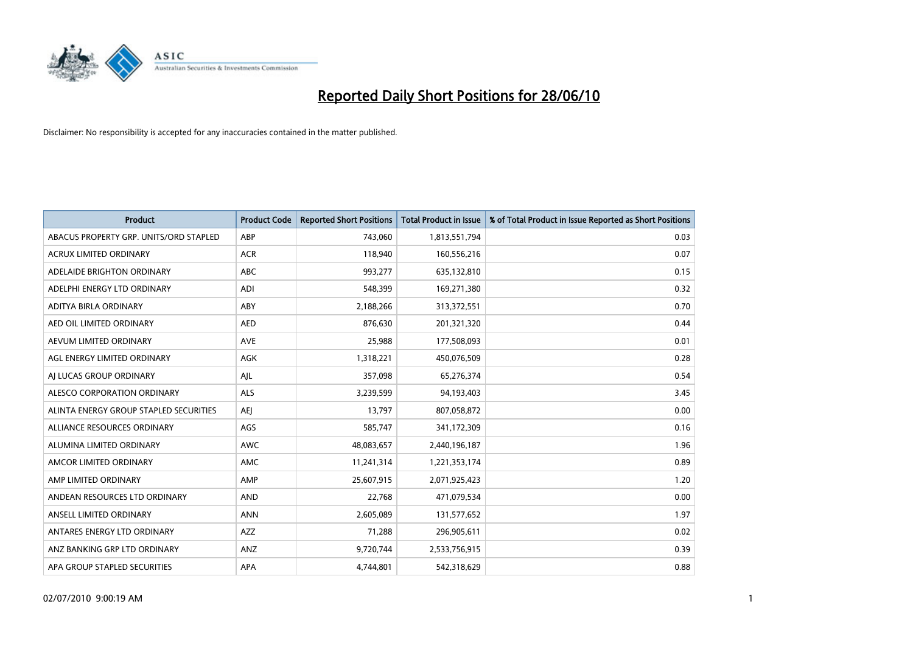

| <b>Product</b>                         | <b>Product Code</b> | <b>Reported Short Positions</b> | <b>Total Product in Issue</b> | % of Total Product in Issue Reported as Short Positions |
|----------------------------------------|---------------------|---------------------------------|-------------------------------|---------------------------------------------------------|
| ABACUS PROPERTY GRP. UNITS/ORD STAPLED | ABP                 | 743,060                         | 1,813,551,794                 | 0.03                                                    |
| ACRUX LIMITED ORDINARY                 | <b>ACR</b>          | 118,940                         | 160,556,216                   | 0.07                                                    |
| ADELAIDE BRIGHTON ORDINARY             | <b>ABC</b>          | 993,277                         | 635,132,810                   | 0.15                                                    |
| ADELPHI ENERGY LTD ORDINARY            | <b>ADI</b>          | 548,399                         | 169,271,380                   | 0.32                                                    |
| ADITYA BIRLA ORDINARY                  | ABY                 | 2,188,266                       | 313,372,551                   | 0.70                                                    |
| AED OIL LIMITED ORDINARY               | <b>AED</b>          | 876,630                         | 201,321,320                   | 0.44                                                    |
| AEVUM LIMITED ORDINARY                 | <b>AVE</b>          | 25.988                          | 177,508,093                   | 0.01                                                    |
| AGL ENERGY LIMITED ORDINARY            | <b>AGK</b>          | 1,318,221                       | 450,076,509                   | 0.28                                                    |
| AI LUCAS GROUP ORDINARY                | AJL                 | 357,098                         | 65,276,374                    | 0.54                                                    |
| ALESCO CORPORATION ORDINARY            | <b>ALS</b>          | 3,239,599                       | 94,193,403                    | 3.45                                                    |
| ALINTA ENERGY GROUP STAPLED SECURITIES | AEJ                 | 13,797                          | 807,058,872                   | 0.00                                                    |
| ALLIANCE RESOURCES ORDINARY            | AGS                 | 585,747                         | 341,172,309                   | 0.16                                                    |
| ALUMINA LIMITED ORDINARY               | <b>AWC</b>          | 48,083,657                      | 2,440,196,187                 | 1.96                                                    |
| AMCOR LIMITED ORDINARY                 | <b>AMC</b>          | 11,241,314                      | 1,221,353,174                 | 0.89                                                    |
| AMP LIMITED ORDINARY                   | AMP                 | 25,607,915                      | 2,071,925,423                 | 1.20                                                    |
| ANDEAN RESOURCES LTD ORDINARY          | AND                 | 22,768                          | 471,079,534                   | 0.00                                                    |
| ANSELL LIMITED ORDINARY                | <b>ANN</b>          | 2,605,089                       | 131,577,652                   | 1.97                                                    |
| ANTARES ENERGY LTD ORDINARY            | <b>AZZ</b>          | 71,288                          | 296,905,611                   | 0.02                                                    |
| ANZ BANKING GRP LTD ORDINARY           | ANZ                 | 9,720,744                       | 2,533,756,915                 | 0.39                                                    |
| APA GROUP STAPLED SECURITIES           | <b>APA</b>          | 4.744.801                       | 542,318,629                   | 0.88                                                    |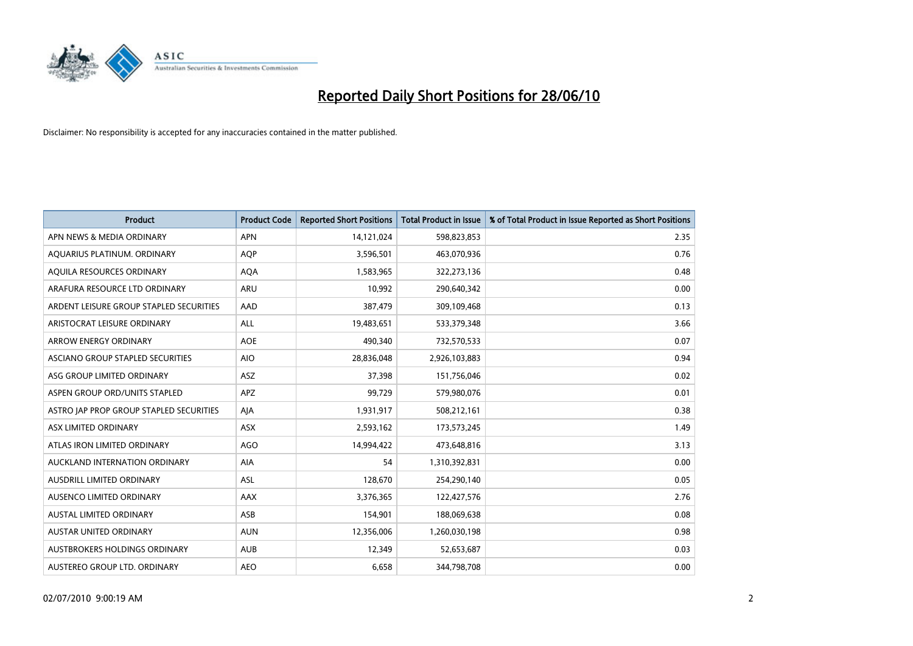

| <b>Product</b>                          | <b>Product Code</b> | <b>Reported Short Positions</b> | <b>Total Product in Issue</b> | % of Total Product in Issue Reported as Short Positions |
|-----------------------------------------|---------------------|---------------------------------|-------------------------------|---------------------------------------------------------|
| APN NEWS & MEDIA ORDINARY               | <b>APN</b>          | 14,121,024                      | 598,823,853                   | 2.35                                                    |
| AQUARIUS PLATINUM. ORDINARY             | <b>AQP</b>          | 3,596,501                       | 463,070,936                   | 0.76                                                    |
| AQUILA RESOURCES ORDINARY               | <b>AQA</b>          | 1,583,965                       | 322,273,136                   | 0.48                                                    |
| ARAFURA RESOURCE LTD ORDINARY           | <b>ARU</b>          | 10,992                          | 290,640,342                   | 0.00                                                    |
| ARDENT LEISURE GROUP STAPLED SECURITIES | AAD                 | 387,479                         | 309,109,468                   | 0.13                                                    |
| ARISTOCRAT LEISURE ORDINARY             | <b>ALL</b>          | 19,483,651                      | 533,379,348                   | 3.66                                                    |
| ARROW ENERGY ORDINARY                   | <b>AOE</b>          | 490,340                         | 732,570,533                   | 0.07                                                    |
| ASCIANO GROUP STAPLED SECURITIES        | <b>AIO</b>          | 28,836,048                      | 2,926,103,883                 | 0.94                                                    |
| ASG GROUP LIMITED ORDINARY              | <b>ASZ</b>          | 37,398                          | 151,756,046                   | 0.02                                                    |
| ASPEN GROUP ORD/UNITS STAPLED           | APZ                 | 99,729                          | 579,980,076                   | 0.01                                                    |
| ASTRO JAP PROP GROUP STAPLED SECURITIES | AIA                 | 1,931,917                       | 508,212,161                   | 0.38                                                    |
| ASX LIMITED ORDINARY                    | ASX                 | 2,593,162                       | 173,573,245                   | 1.49                                                    |
| ATLAS IRON LIMITED ORDINARY             | <b>AGO</b>          | 14,994,422                      | 473,648,816                   | 3.13                                                    |
| AUCKLAND INTERNATION ORDINARY           | AIA                 | 54                              | 1,310,392,831                 | 0.00                                                    |
| <b>AUSDRILL LIMITED ORDINARY</b>        | <b>ASL</b>          | 128,670                         | 254,290,140                   | 0.05                                                    |
| AUSENCO LIMITED ORDINARY                | <b>AAX</b>          | 3,376,365                       | 122,427,576                   | 2.76                                                    |
| AUSTAL LIMITED ORDINARY                 | ASB                 | 154,901                         | 188,069,638                   | 0.08                                                    |
| AUSTAR UNITED ORDINARY                  | <b>AUN</b>          | 12,356,006                      | 1,260,030,198                 | 0.98                                                    |
| <b>AUSTBROKERS HOLDINGS ORDINARY</b>    | <b>AUB</b>          | 12,349                          | 52,653,687                    | 0.03                                                    |
| AUSTEREO GROUP LTD. ORDINARY            | <b>AEO</b>          | 6,658                           | 344,798,708                   | 0.00                                                    |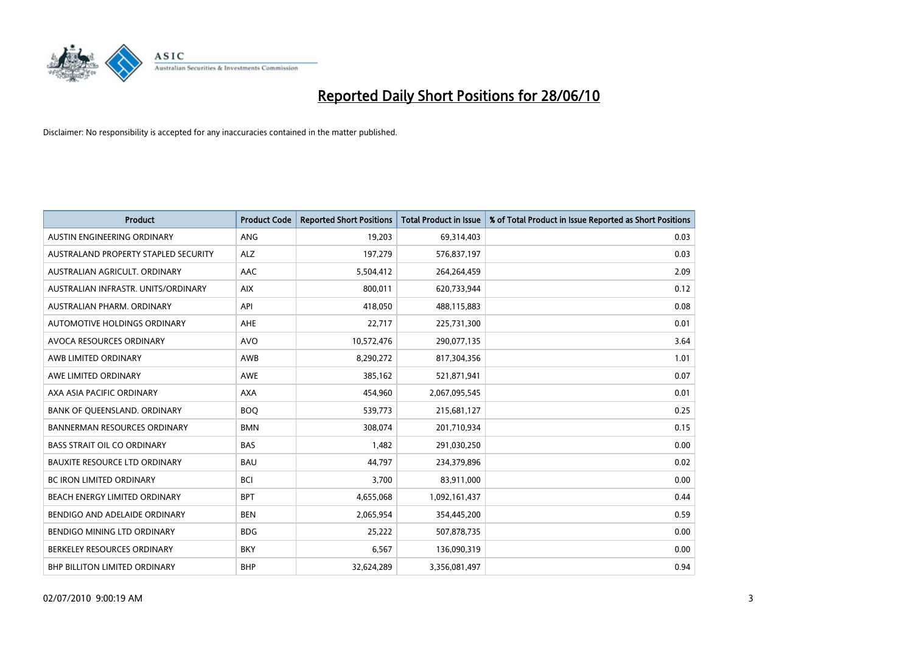

| <b>Product</b>                       | <b>Product Code</b> | <b>Reported Short Positions</b> | Total Product in Issue | % of Total Product in Issue Reported as Short Positions |
|--------------------------------------|---------------------|---------------------------------|------------------------|---------------------------------------------------------|
| AUSTIN ENGINEERING ORDINARY          | ANG                 | 19,203                          | 69,314,403             | 0.03                                                    |
| AUSTRALAND PROPERTY STAPLED SECURITY | <b>ALZ</b>          | 197,279                         | 576,837,197            | 0.03                                                    |
| AUSTRALIAN AGRICULT, ORDINARY        | <b>AAC</b>          | 5,504,412                       | 264,264,459            | 2.09                                                    |
| AUSTRALIAN INFRASTR. UNITS/ORDINARY  | <b>AIX</b>          | 800,011                         | 620,733,944            | 0.12                                                    |
| AUSTRALIAN PHARM, ORDINARY           | API                 | 418.050                         | 488,115,883            | 0.08                                                    |
| AUTOMOTIVE HOLDINGS ORDINARY         | <b>AHE</b>          | 22,717                          | 225,731,300            | 0.01                                                    |
| AVOCA RESOURCES ORDINARY             | <b>AVO</b>          | 10,572,476                      | 290,077,135            | 3.64                                                    |
| AWB LIMITED ORDINARY                 | AWB                 | 8,290,272                       | 817,304,356            | 1.01                                                    |
| AWE LIMITED ORDINARY                 | <b>AWE</b>          | 385,162                         | 521,871,941            | 0.07                                                    |
| AXA ASIA PACIFIC ORDINARY            | <b>AXA</b>          | 454,960                         | 2,067,095,545          | 0.01                                                    |
| BANK OF QUEENSLAND. ORDINARY         | <b>BOQ</b>          | 539,773                         | 215,681,127            | 0.25                                                    |
| <b>BANNERMAN RESOURCES ORDINARY</b>  | <b>BMN</b>          | 308,074                         | 201,710,934            | 0.15                                                    |
| <b>BASS STRAIT OIL CO ORDINARY</b>   | <b>BAS</b>          | 1.482                           | 291,030,250            | 0.00                                                    |
| <b>BAUXITE RESOURCE LTD ORDINARY</b> | <b>BAU</b>          | 44.797                          | 234,379,896            | 0.02                                                    |
| <b>BC IRON LIMITED ORDINARY</b>      | <b>BCI</b>          | 3,700                           | 83,911,000             | 0.00                                                    |
| BEACH ENERGY LIMITED ORDINARY        | <b>BPT</b>          | 4,655,068                       | 1,092,161,437          | 0.44                                                    |
| BENDIGO AND ADELAIDE ORDINARY        | <b>BEN</b>          | 2,065,954                       | 354,445,200            | 0.59                                                    |
| BENDIGO MINING LTD ORDINARY          | <b>BDG</b>          | 25,222                          | 507,878,735            | 0.00                                                    |
| BERKELEY RESOURCES ORDINARY          | <b>BKY</b>          | 6,567                           | 136,090,319            | 0.00                                                    |
| <b>BHP BILLITON LIMITED ORDINARY</b> | <b>BHP</b>          | 32,624,289                      | 3,356,081,497          | 0.94                                                    |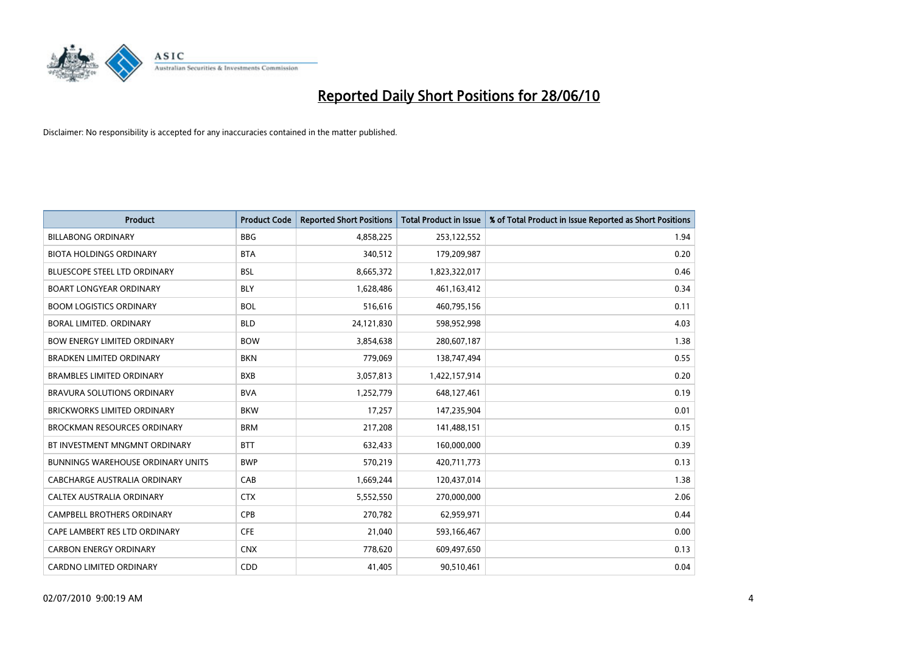

| <b>Product</b>                           | <b>Product Code</b> | <b>Reported Short Positions</b> | <b>Total Product in Issue</b> | % of Total Product in Issue Reported as Short Positions |
|------------------------------------------|---------------------|---------------------------------|-------------------------------|---------------------------------------------------------|
| <b>BILLABONG ORDINARY</b>                | <b>BBG</b>          | 4,858,225                       | 253,122,552                   | 1.94                                                    |
| <b>BIOTA HOLDINGS ORDINARY</b>           | <b>BTA</b>          | 340,512                         | 179,209,987                   | 0.20                                                    |
| <b>BLUESCOPE STEEL LTD ORDINARY</b>      | <b>BSL</b>          | 8,665,372                       | 1,823,322,017                 | 0.46                                                    |
| <b>BOART LONGYEAR ORDINARY</b>           | <b>BLY</b>          | 1,628,486                       | 461, 163, 412                 | 0.34                                                    |
| <b>BOOM LOGISTICS ORDINARY</b>           | <b>BOL</b>          | 516,616                         | 460,795,156                   | 0.11                                                    |
| BORAL LIMITED, ORDINARY                  | <b>BLD</b>          | 24,121,830                      | 598,952,998                   | 4.03                                                    |
| <b>BOW ENERGY LIMITED ORDINARY</b>       | <b>BOW</b>          | 3,854,638                       | 280,607,187                   | 1.38                                                    |
| <b>BRADKEN LIMITED ORDINARY</b>          | <b>BKN</b>          | 779,069                         | 138,747,494                   | 0.55                                                    |
| <b>BRAMBLES LIMITED ORDINARY</b>         | <b>BXB</b>          | 3,057,813                       | 1,422,157,914                 | 0.20                                                    |
| BRAVURA SOLUTIONS ORDINARY               | <b>BVA</b>          | 1,252,779                       | 648,127,461                   | 0.19                                                    |
| BRICKWORKS LIMITED ORDINARY              | <b>BKW</b>          | 17,257                          | 147,235,904                   | 0.01                                                    |
| <b>BROCKMAN RESOURCES ORDINARY</b>       | <b>BRM</b>          | 217,208                         | 141,488,151                   | 0.15                                                    |
| BT INVESTMENT MNGMNT ORDINARY            | <b>BTT</b>          | 632,433                         | 160,000,000                   | 0.39                                                    |
| <b>BUNNINGS WAREHOUSE ORDINARY UNITS</b> | <b>BWP</b>          | 570,219                         | 420,711,773                   | 0.13                                                    |
| <b>CABCHARGE AUSTRALIA ORDINARY</b>      | CAB                 | 1,669,244                       | 120,437,014                   | 1.38                                                    |
| CALTEX AUSTRALIA ORDINARY                | <b>CTX</b>          | 5,552,550                       | 270,000,000                   | 2.06                                                    |
| CAMPBELL BROTHERS ORDINARY               | CPB                 | 270,782                         | 62,959,971                    | 0.44                                                    |
| CAPE LAMBERT RES LTD ORDINARY            | <b>CFE</b>          | 21,040                          | 593,166,467                   | 0.00                                                    |
| <b>CARBON ENERGY ORDINARY</b>            | <b>CNX</b>          | 778,620                         | 609,497,650                   | 0.13                                                    |
| CARDNO LIMITED ORDINARY                  | CDD                 | 41,405                          | 90,510,461                    | 0.04                                                    |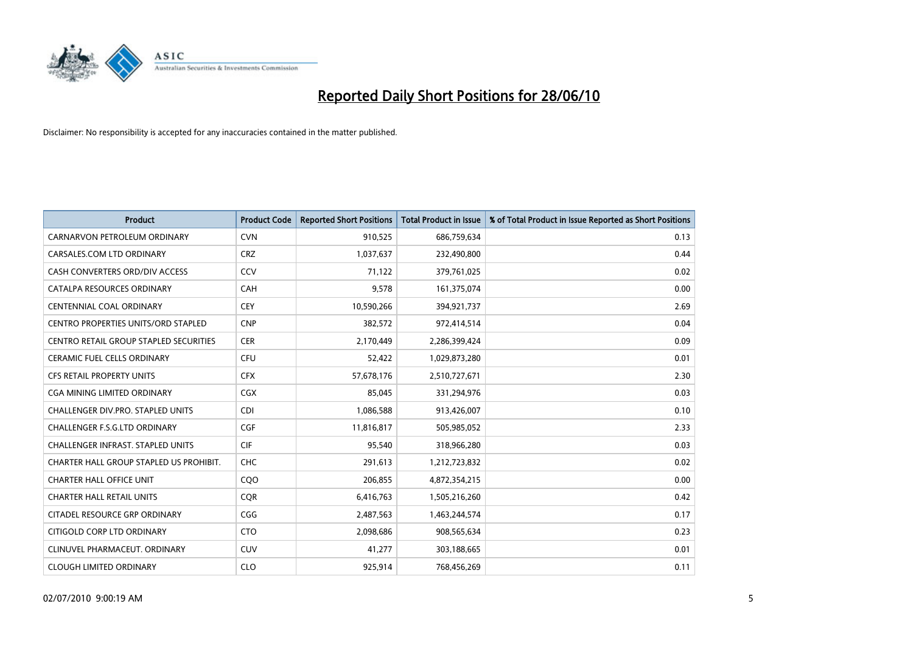

| <b>Product</b>                                | <b>Product Code</b> | <b>Reported Short Positions</b> | <b>Total Product in Issue</b> | % of Total Product in Issue Reported as Short Positions |
|-----------------------------------------------|---------------------|---------------------------------|-------------------------------|---------------------------------------------------------|
| CARNARVON PETROLEUM ORDINARY                  | <b>CVN</b>          | 910,525                         | 686,759,634                   | 0.13                                                    |
| CARSALES.COM LTD ORDINARY                     | <b>CRZ</b>          | 1,037,637                       | 232,490,800                   | 0.44                                                    |
| CASH CONVERTERS ORD/DIV ACCESS                | CCV                 | 71,122                          | 379,761,025                   | 0.02                                                    |
| CATALPA RESOURCES ORDINARY                    | <b>CAH</b>          | 9,578                           | 161,375,074                   | 0.00                                                    |
| <b>CENTENNIAL COAL ORDINARY</b>               | <b>CEY</b>          | 10,590,266                      | 394,921,737                   | 2.69                                                    |
| <b>CENTRO PROPERTIES UNITS/ORD STAPLED</b>    | <b>CNP</b>          | 382,572                         | 972,414,514                   | 0.04                                                    |
| <b>CENTRO RETAIL GROUP STAPLED SECURITIES</b> | <b>CER</b>          | 2,170,449                       | 2,286,399,424                 | 0.09                                                    |
| <b>CERAMIC FUEL CELLS ORDINARY</b>            | <b>CFU</b>          | 52,422                          | 1,029,873,280                 | 0.01                                                    |
| <b>CFS RETAIL PROPERTY UNITS</b>              | <b>CFX</b>          | 57,678,176                      | 2,510,727,671                 | 2.30                                                    |
| CGA MINING LIMITED ORDINARY                   | <b>CGX</b>          | 85.045                          | 331,294,976                   | 0.03                                                    |
| <b>CHALLENGER DIV.PRO. STAPLED UNITS</b>      | <b>CDI</b>          | 1,086,588                       | 913,426,007                   | 0.10                                                    |
| CHALLENGER F.S.G.LTD ORDINARY                 | <b>CGF</b>          | 11,816,817                      | 505,985,052                   | 2.33                                                    |
| CHALLENGER INFRAST. STAPLED UNITS             | <b>CIF</b>          | 95,540                          | 318,966,280                   | 0.03                                                    |
| CHARTER HALL GROUP STAPLED US PROHIBIT.       | <b>CHC</b>          | 291,613                         | 1,212,723,832                 | 0.02                                                    |
| <b>CHARTER HALL OFFICE UNIT</b>               | COO                 | 206,855                         | 4,872,354,215                 | 0.00                                                    |
| <b>CHARTER HALL RETAIL UNITS</b>              | <b>CQR</b>          | 6,416,763                       | 1,505,216,260                 | 0.42                                                    |
| CITADEL RESOURCE GRP ORDINARY                 | CGG                 | 2,487,563                       | 1,463,244,574                 | 0.17                                                    |
| CITIGOLD CORP LTD ORDINARY                    | <b>CTO</b>          | 2,098,686                       | 908,565,634                   | 0.23                                                    |
| CLINUVEL PHARMACEUT, ORDINARY                 | <b>CUV</b>          | 41,277                          | 303,188,665                   | 0.01                                                    |
| <b>CLOUGH LIMITED ORDINARY</b>                | <b>CLO</b>          | 925,914                         | 768,456,269                   | 0.11                                                    |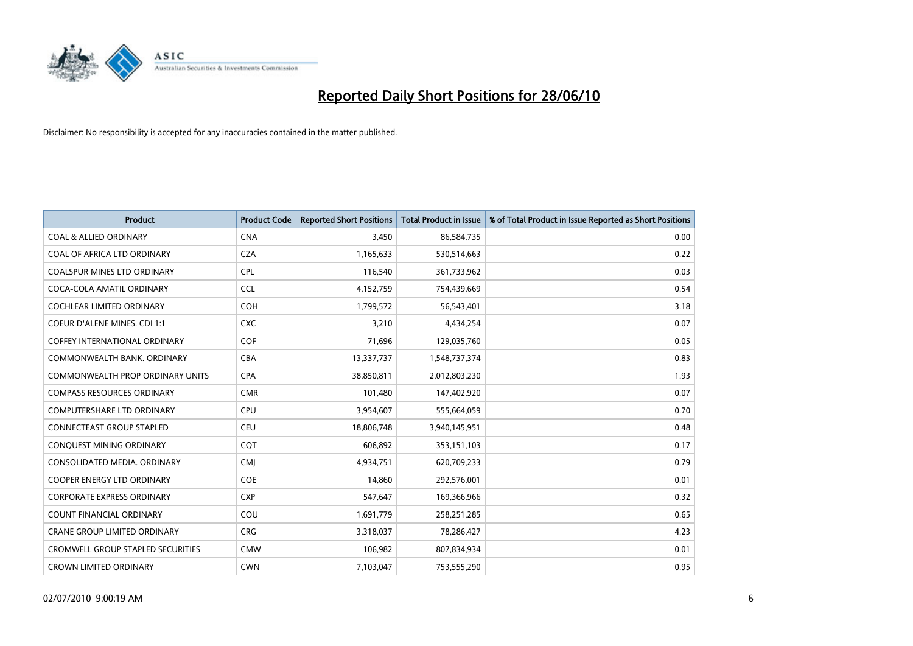

| <b>Product</b>                           | <b>Product Code</b> | <b>Reported Short Positions</b> | <b>Total Product in Issue</b> | % of Total Product in Issue Reported as Short Positions |
|------------------------------------------|---------------------|---------------------------------|-------------------------------|---------------------------------------------------------|
| <b>COAL &amp; ALLIED ORDINARY</b>        | <b>CNA</b>          | 3,450                           | 86,584,735                    | 0.00                                                    |
| COAL OF AFRICA LTD ORDINARY              | <b>CZA</b>          | 1,165,633                       | 530,514,663                   | 0.22                                                    |
| <b>COALSPUR MINES LTD ORDINARY</b>       | <b>CPL</b>          | 116,540                         | 361,733,962                   | 0.03                                                    |
| COCA-COLA AMATIL ORDINARY                | CCL                 | 4,152,759                       | 754,439,669                   | 0.54                                                    |
| <b>COCHLEAR LIMITED ORDINARY</b>         | COH                 | 1,799,572                       | 56,543,401                    | 3.18                                                    |
| <b>COEUR D'ALENE MINES. CDI 1:1</b>      | <b>CXC</b>          | 3,210                           | 4,434,254                     | 0.07                                                    |
| <b>COFFEY INTERNATIONAL ORDINARY</b>     | <b>COF</b>          | 71,696                          | 129,035,760                   | 0.05                                                    |
| COMMONWEALTH BANK, ORDINARY              | <b>CBA</b>          | 13,337,737                      | 1,548,737,374                 | 0.83                                                    |
| <b>COMMONWEALTH PROP ORDINARY UNITS</b>  | <b>CPA</b>          | 38,850,811                      | 2,012,803,230                 | 1.93                                                    |
| <b>COMPASS RESOURCES ORDINARY</b>        | <b>CMR</b>          | 101,480                         | 147,402,920                   | 0.07                                                    |
| <b>COMPUTERSHARE LTD ORDINARY</b>        | <b>CPU</b>          | 3,954,607                       | 555,664,059                   | 0.70                                                    |
| CONNECTEAST GROUP STAPLED                | CEU                 | 18,806,748                      | 3,940,145,951                 | 0.48                                                    |
| CONQUEST MINING ORDINARY                 | COT                 | 606,892                         | 353,151,103                   | 0.17                                                    |
| CONSOLIDATED MEDIA, ORDINARY             | <b>CMI</b>          | 4,934,751                       | 620,709,233                   | 0.79                                                    |
| <b>COOPER ENERGY LTD ORDINARY</b>        | <b>COE</b>          | 14,860                          | 292,576,001                   | 0.01                                                    |
| <b>CORPORATE EXPRESS ORDINARY</b>        | <b>CXP</b>          | 547,647                         | 169,366,966                   | 0.32                                                    |
| COUNT FINANCIAL ORDINARY                 | COU                 | 1,691,779                       | 258,251,285                   | 0.65                                                    |
| <b>CRANE GROUP LIMITED ORDINARY</b>      | <b>CRG</b>          | 3,318,037                       | 78,286,427                    | 4.23                                                    |
| <b>CROMWELL GROUP STAPLED SECURITIES</b> | <b>CMW</b>          | 106,982                         | 807,834,934                   | 0.01                                                    |
| <b>CROWN LIMITED ORDINARY</b>            | <b>CWN</b>          | 7,103,047                       | 753,555,290                   | 0.95                                                    |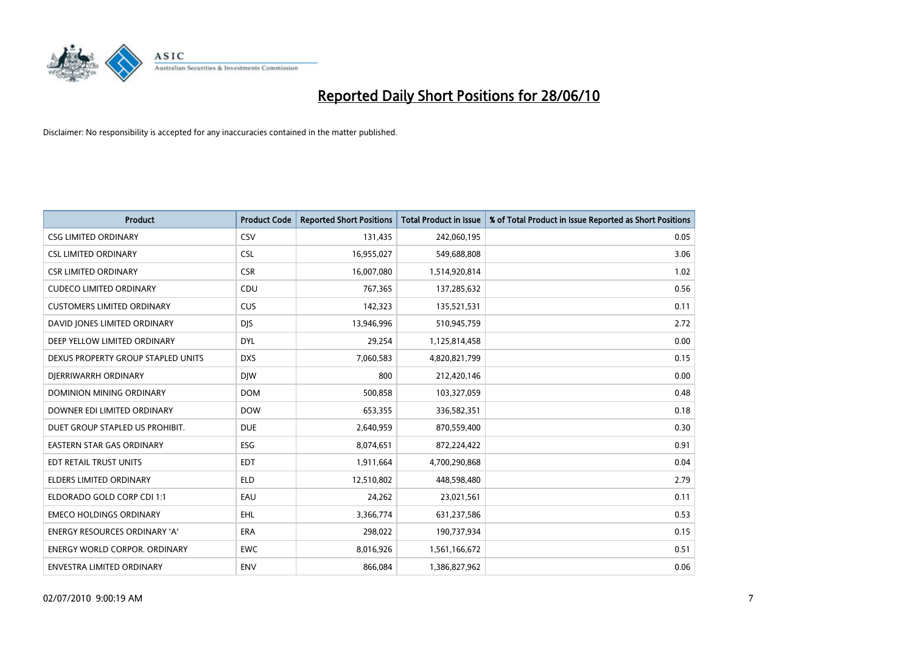

| <b>Product</b>                       | <b>Product Code</b> | <b>Reported Short Positions</b> | <b>Total Product in Issue</b> | % of Total Product in Issue Reported as Short Positions |
|--------------------------------------|---------------------|---------------------------------|-------------------------------|---------------------------------------------------------|
| <b>CSG LIMITED ORDINARY</b>          | CSV                 | 131,435                         | 242,060,195                   | 0.05                                                    |
| <b>CSL LIMITED ORDINARY</b>          | <b>CSL</b>          | 16,955,027                      | 549,688,808                   | 3.06                                                    |
| <b>CSR LIMITED ORDINARY</b>          | <b>CSR</b>          | 16,007,080                      | 1,514,920,814                 | 1.02                                                    |
| <b>CUDECO LIMITED ORDINARY</b>       | CDU                 | 767,365                         | 137,285,632                   | 0.56                                                    |
| <b>CUSTOMERS LIMITED ORDINARY</b>    | CUS                 | 142,323                         | 135,521,531                   | 0.11                                                    |
| DAVID JONES LIMITED ORDINARY         | <b>DJS</b>          | 13,946,996                      | 510,945,759                   | 2.72                                                    |
| DEEP YELLOW LIMITED ORDINARY         | <b>DYL</b>          | 29,254                          | 1,125,814,458                 | 0.00                                                    |
| DEXUS PROPERTY GROUP STAPLED UNITS   | <b>DXS</b>          | 7,060,583                       | 4,820,821,799                 | 0.15                                                    |
| DJERRIWARRH ORDINARY                 | <b>DIW</b>          | 800                             | 212,420,146                   | 0.00                                                    |
| DOMINION MINING ORDINARY             | <b>DOM</b>          | 500,858                         | 103,327,059                   | 0.48                                                    |
| DOWNER EDI LIMITED ORDINARY          | <b>DOW</b>          | 653,355                         | 336,582,351                   | 0.18                                                    |
| DUET GROUP STAPLED US PROHIBIT.      | <b>DUE</b>          | 2,640,959                       | 870,559,400                   | 0.30                                                    |
| <b>EASTERN STAR GAS ORDINARY</b>     | ESG                 | 8,074,651                       | 872,224,422                   | 0.91                                                    |
| EDT RETAIL TRUST UNITS               | <b>EDT</b>          | 1,911,664                       | 4,700,290,868                 | 0.04                                                    |
| <b>ELDERS LIMITED ORDINARY</b>       | <b>ELD</b>          | 12,510,802                      | 448,598,480                   | 2.79                                                    |
| ELDORADO GOLD CORP CDI 1:1           | EAU                 | 24,262                          | 23,021,561                    | 0.11                                                    |
| <b>EMECO HOLDINGS ORDINARY</b>       | <b>EHL</b>          | 3,366,774                       | 631,237,586                   | 0.53                                                    |
| ENERGY RESOURCES ORDINARY 'A'        | <b>ERA</b>          | 298,022                         | 190,737,934                   | 0.15                                                    |
| <b>ENERGY WORLD CORPOR, ORDINARY</b> | <b>EWC</b>          | 8,016,926                       | 1,561,166,672                 | 0.51                                                    |
| ENVESTRA LIMITED ORDINARY            | <b>ENV</b>          | 866.084                         | 1,386,827,962                 | 0.06                                                    |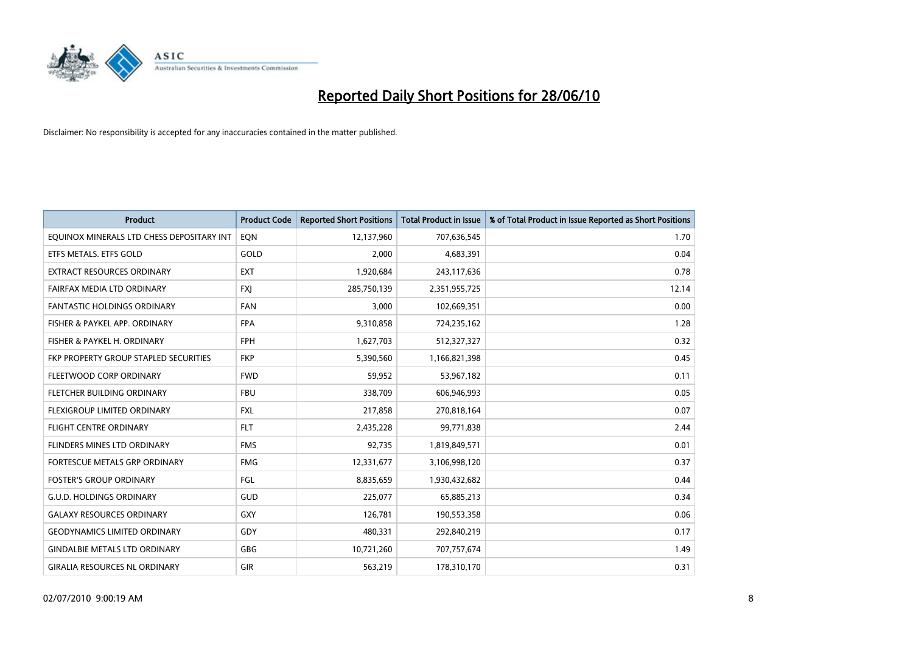

| <b>Product</b>                            | <b>Product Code</b> | <b>Reported Short Positions</b> | <b>Total Product in Issue</b> | % of Total Product in Issue Reported as Short Positions |
|-------------------------------------------|---------------------|---------------------------------|-------------------------------|---------------------------------------------------------|
| EQUINOX MINERALS LTD CHESS DEPOSITARY INT | EQN                 | 12,137,960                      | 707,636,545                   | 1.70                                                    |
| ETFS METALS. ETFS GOLD                    | GOLD                | 2,000                           | 4,683,391                     | 0.04                                                    |
| EXTRACT RESOURCES ORDINARY                | <b>EXT</b>          | 1,920,684                       | 243,117,636                   | 0.78                                                    |
| FAIRFAX MEDIA LTD ORDINARY                | <b>FXI</b>          | 285,750,139                     | 2,351,955,725                 | 12.14                                                   |
| <b>FANTASTIC HOLDINGS ORDINARY</b>        | <b>FAN</b>          | 3,000                           | 102,669,351                   | 0.00                                                    |
| FISHER & PAYKEL APP. ORDINARY             | <b>FPA</b>          | 9,310,858                       | 724,235,162                   | 1.28                                                    |
| FISHER & PAYKEL H. ORDINARY               | <b>FPH</b>          | 1,627,703                       | 512,327,327                   | 0.32                                                    |
| FKP PROPERTY GROUP STAPLED SECURITIES     | <b>FKP</b>          | 5,390,560                       | 1,166,821,398                 | 0.45                                                    |
| FLEETWOOD CORP ORDINARY                   | <b>FWD</b>          | 59,952                          | 53,967,182                    | 0.11                                                    |
| FLETCHER BUILDING ORDINARY                | <b>FBU</b>          | 338,709                         | 606,946,993                   | 0.05                                                    |
| FLEXIGROUP LIMITED ORDINARY               | <b>FXL</b>          | 217,858                         | 270,818,164                   | 0.07                                                    |
| <b>FLIGHT CENTRE ORDINARY</b>             | <b>FLT</b>          | 2,435,228                       | 99,771,838                    | 2.44                                                    |
| FLINDERS MINES LTD ORDINARY               | <b>FMS</b>          | 92,735                          | 1,819,849,571                 | 0.01                                                    |
| FORTESCUE METALS GRP ORDINARY             | <b>FMG</b>          | 12,331,677                      | 3,106,998,120                 | 0.37                                                    |
| <b>FOSTER'S GROUP ORDINARY</b>            | <b>FGL</b>          | 8,835,659                       | 1,930,432,682                 | 0.44                                                    |
| <b>G.U.D. HOLDINGS ORDINARY</b>           | <b>GUD</b>          | 225,077                         | 65,885,213                    | 0.34                                                    |
| <b>GALAXY RESOURCES ORDINARY</b>          | <b>GXY</b>          | 126,781                         | 190,553,358                   | 0.06                                                    |
| <b>GEODYNAMICS LIMITED ORDINARY</b>       | GDY                 | 480,331                         | 292,840,219                   | 0.17                                                    |
| <b>GINDALBIE METALS LTD ORDINARY</b>      | <b>GBG</b>          | 10,721,260                      | 707,757,674                   | 1.49                                                    |
| <b>GIRALIA RESOURCES NL ORDINARY</b>      | GIR                 | 563,219                         | 178,310,170                   | 0.31                                                    |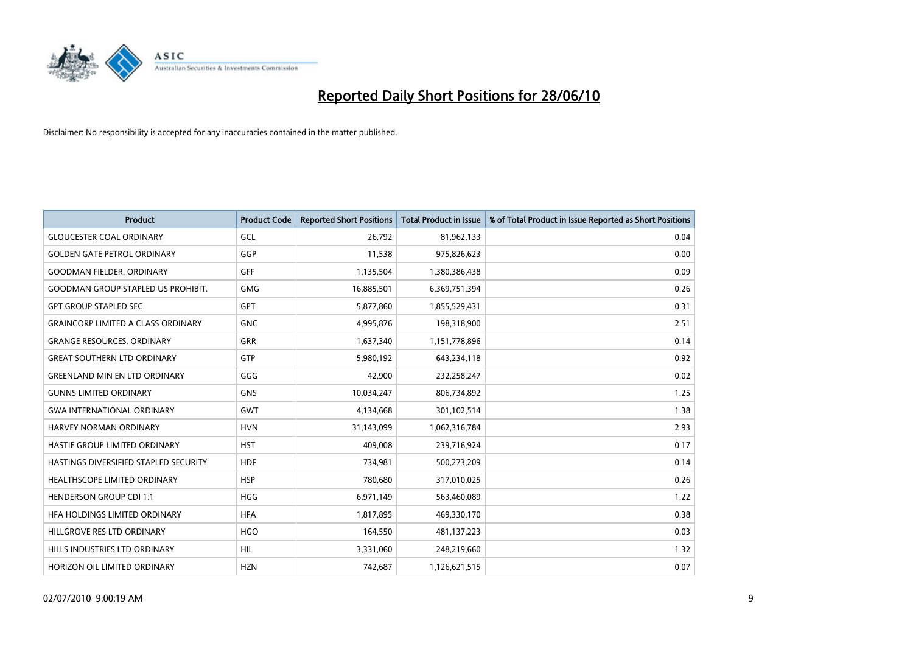

| <b>Product</b>                            | <b>Product Code</b> | <b>Reported Short Positions</b> | Total Product in Issue | % of Total Product in Issue Reported as Short Positions |
|-------------------------------------------|---------------------|---------------------------------|------------------------|---------------------------------------------------------|
| <b>GLOUCESTER COAL ORDINARY</b>           | GCL                 | 26,792                          | 81,962,133             | 0.04                                                    |
| <b>GOLDEN GATE PETROL ORDINARY</b>        | GGP                 | 11,538                          | 975,826,623            | 0.00                                                    |
| <b>GOODMAN FIELDER, ORDINARY</b>          | <b>GFF</b>          | 1,135,504                       | 1,380,386,438          | 0.09                                                    |
| <b>GOODMAN GROUP STAPLED US PROHIBIT.</b> | <b>GMG</b>          | 16,885,501                      | 6,369,751,394          | 0.26                                                    |
| <b>GPT GROUP STAPLED SEC.</b>             | <b>GPT</b>          | 5,877,860                       | 1,855,529,431          | 0.31                                                    |
| <b>GRAINCORP LIMITED A CLASS ORDINARY</b> | <b>GNC</b>          | 4,995,876                       | 198,318,900            | 2.51                                                    |
| <b>GRANGE RESOURCES, ORDINARY</b>         | <b>GRR</b>          | 1,637,340                       | 1,151,778,896          | 0.14                                                    |
| <b>GREAT SOUTHERN LTD ORDINARY</b>        | GTP                 | 5,980,192                       | 643,234,118            | 0.92                                                    |
| <b>GREENLAND MIN EN LTD ORDINARY</b>      | GGG                 | 42,900                          | 232,258,247            | 0.02                                                    |
| <b>GUNNS LIMITED ORDINARY</b>             | <b>GNS</b>          | 10,034,247                      | 806,734,892            | 1.25                                                    |
| <b>GWA INTERNATIONAL ORDINARY</b>         | <b>GWT</b>          | 4,134,668                       | 301,102,514            | 1.38                                                    |
| HARVEY NORMAN ORDINARY                    | <b>HVN</b>          | 31,143,099                      | 1,062,316,784          | 2.93                                                    |
| HASTIE GROUP LIMITED ORDINARY             | <b>HST</b>          | 409,008                         | 239,716,924            | 0.17                                                    |
| HASTINGS DIVERSIFIED STAPLED SECURITY     | <b>HDF</b>          | 734,981                         | 500,273,209            | 0.14                                                    |
| <b>HEALTHSCOPE LIMITED ORDINARY</b>       | <b>HSP</b>          | 780,680                         | 317,010,025            | 0.26                                                    |
| <b>HENDERSON GROUP CDI 1:1</b>            | <b>HGG</b>          | 6,971,149                       | 563,460,089            | 1.22                                                    |
| HFA HOLDINGS LIMITED ORDINARY             | <b>HFA</b>          | 1,817,895                       | 469,330,170            | 0.38                                                    |
| HILLGROVE RES LTD ORDINARY                | <b>HGO</b>          | 164,550                         | 481,137,223            | 0.03                                                    |
| HILLS INDUSTRIES LTD ORDINARY             | <b>HIL</b>          | 3,331,060                       | 248,219,660            | 1.32                                                    |
| HORIZON OIL LIMITED ORDINARY              | <b>HZN</b>          | 742.687                         | 1,126,621,515          | 0.07                                                    |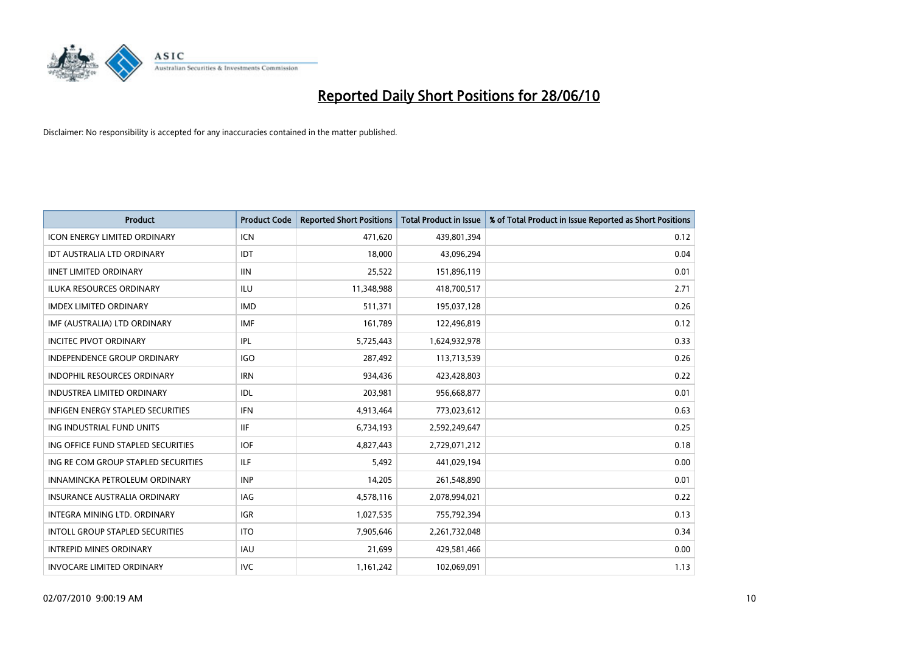

| <b>Product</b>                           | <b>Product Code</b> | <b>Reported Short Positions</b> | Total Product in Issue | % of Total Product in Issue Reported as Short Positions |
|------------------------------------------|---------------------|---------------------------------|------------------------|---------------------------------------------------------|
| <b>ICON ENERGY LIMITED ORDINARY</b>      | <b>ICN</b>          | 471,620                         | 439,801,394            | 0.12                                                    |
| IDT AUSTRALIA LTD ORDINARY               | IDT                 | 18,000                          | 43,096,294             | 0.04                                                    |
| <b>IINET LIMITED ORDINARY</b>            | <b>IIN</b>          | 25,522                          | 151,896,119            | 0.01                                                    |
| ILUKA RESOURCES ORDINARY                 | ILU                 | 11,348,988                      | 418,700,517            | 2.71                                                    |
| <b>IMDEX LIMITED ORDINARY</b>            | <b>IMD</b>          | 511,371                         | 195,037,128            | 0.26                                                    |
| IMF (AUSTRALIA) LTD ORDINARY             | <b>IMF</b>          | 161,789                         | 122,496,819            | 0.12                                                    |
| <b>INCITEC PIVOT ORDINARY</b>            | <b>IPL</b>          | 5,725,443                       | 1,624,932,978          | 0.33                                                    |
| <b>INDEPENDENCE GROUP ORDINARY</b>       | <b>IGO</b>          | 287,492                         | 113,713,539            | 0.26                                                    |
| INDOPHIL RESOURCES ORDINARY              | <b>IRN</b>          | 934,436                         | 423,428,803            | 0.22                                                    |
| <b>INDUSTREA LIMITED ORDINARY</b>        | IDL                 | 203,981                         | 956,668,877            | 0.01                                                    |
| <b>INFIGEN ENERGY STAPLED SECURITIES</b> | <b>IFN</b>          | 4,913,464                       | 773,023,612            | 0.63                                                    |
| ING INDUSTRIAL FUND UNITS                | <b>IIF</b>          | 6,734,193                       | 2,592,249,647          | 0.25                                                    |
| ING OFFICE FUND STAPLED SECURITIES       | <b>IOF</b>          | 4,827,443                       | 2,729,071,212          | 0.18                                                    |
| ING RE COM GROUP STAPLED SECURITIES      | <b>ILF</b>          | 5,492                           | 441,029,194            | 0.00                                                    |
| INNAMINCKA PETROLEUM ORDINARY            | <b>INP</b>          | 14,205                          | 261,548,890            | 0.01                                                    |
| INSURANCE AUSTRALIA ORDINARY             | IAG                 | 4,578,116                       | 2,078,994,021          | 0.22                                                    |
| <b>INTEGRA MINING LTD, ORDINARY</b>      | <b>IGR</b>          | 1,027,535                       | 755,792,394            | 0.13                                                    |
| INTOLL GROUP STAPLED SECURITIES          | <b>ITO</b>          | 7,905,646                       | 2,261,732,048          | 0.34                                                    |
| <b>INTREPID MINES ORDINARY</b>           | <b>IAU</b>          | 21,699                          | 429,581,466            | 0.00                                                    |
| INVOCARE LIMITED ORDINARY                | <b>IVC</b>          | 1,161,242                       | 102,069,091            | 1.13                                                    |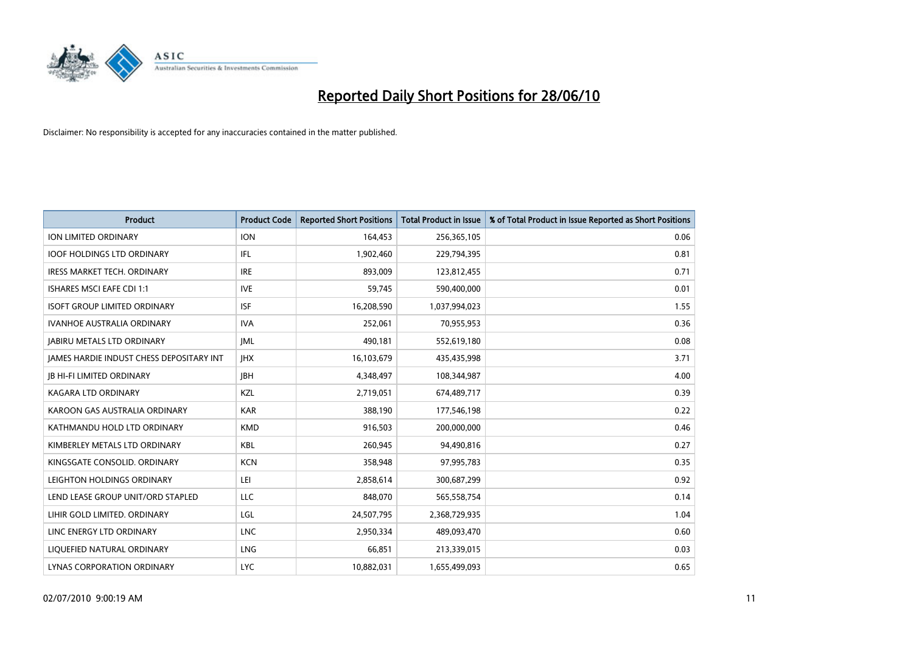

| <b>Product</b>                                  | <b>Product Code</b> | <b>Reported Short Positions</b> | Total Product in Issue | % of Total Product in Issue Reported as Short Positions |
|-------------------------------------------------|---------------------|---------------------------------|------------------------|---------------------------------------------------------|
| <b>ION LIMITED ORDINARY</b>                     | <b>ION</b>          | 164,453                         | 256,365,105            | 0.06                                                    |
| <b>IOOF HOLDINGS LTD ORDINARY</b>               | IFL                 | 1,902,460                       | 229,794,395            | 0.81                                                    |
| <b>IRESS MARKET TECH. ORDINARY</b>              | <b>IRE</b>          | 893.009                         | 123,812,455            | 0.71                                                    |
| ISHARES MSCI EAFE CDI 1:1                       | <b>IVE</b>          | 59,745                          | 590,400,000            | 0.01                                                    |
| <b>ISOFT GROUP LIMITED ORDINARY</b>             | <b>ISF</b>          | 16,208,590                      | 1,037,994,023          | 1.55                                                    |
| <b>IVANHOE AUSTRALIA ORDINARY</b>               | <b>IVA</b>          | 252,061                         | 70,955,953             | 0.36                                                    |
| <b>JABIRU METALS LTD ORDINARY</b>               | <b>JML</b>          | 490,181                         | 552,619,180            | 0.08                                                    |
| <b>JAMES HARDIE INDUST CHESS DEPOSITARY INT</b> | <b>IHX</b>          | 16,103,679                      | 435,435,998            | 3.71                                                    |
| <b>JB HI-FI LIMITED ORDINARY</b>                | <b>IBH</b>          | 4,348,497                       | 108,344,987            | 4.00                                                    |
| <b>KAGARA LTD ORDINARY</b>                      | KZL                 | 2,719,051                       | 674,489,717            | 0.39                                                    |
| KAROON GAS AUSTRALIA ORDINARY                   | <b>KAR</b>          | 388,190                         | 177,546,198            | 0.22                                                    |
| KATHMANDU HOLD LTD ORDINARY                     | <b>KMD</b>          | 916,503                         | 200,000,000            | 0.46                                                    |
| KIMBERLEY METALS LTD ORDINARY                   | <b>KBL</b>          | 260,945                         | 94,490,816             | 0.27                                                    |
| KINGSGATE CONSOLID, ORDINARY                    | <b>KCN</b>          | 358,948                         | 97,995,783             | 0.35                                                    |
| LEIGHTON HOLDINGS ORDINARY                      | LEI                 | 2,858,614                       | 300,687,299            | 0.92                                                    |
| LEND LEASE GROUP UNIT/ORD STAPLED               | LLC                 | 848,070                         | 565,558,754            | 0.14                                                    |
| LIHIR GOLD LIMITED. ORDINARY                    | LGL                 | 24,507,795                      | 2,368,729,935          | 1.04                                                    |
| LINC ENERGY LTD ORDINARY                        | <b>LNC</b>          | 2,950,334                       | 489,093,470            | 0.60                                                    |
| LIQUEFIED NATURAL ORDINARY                      | LNG                 | 66,851                          | 213,339,015            | 0.03                                                    |
| LYNAS CORPORATION ORDINARY                      | <b>LYC</b>          | 10,882,031                      | 1,655,499,093          | 0.65                                                    |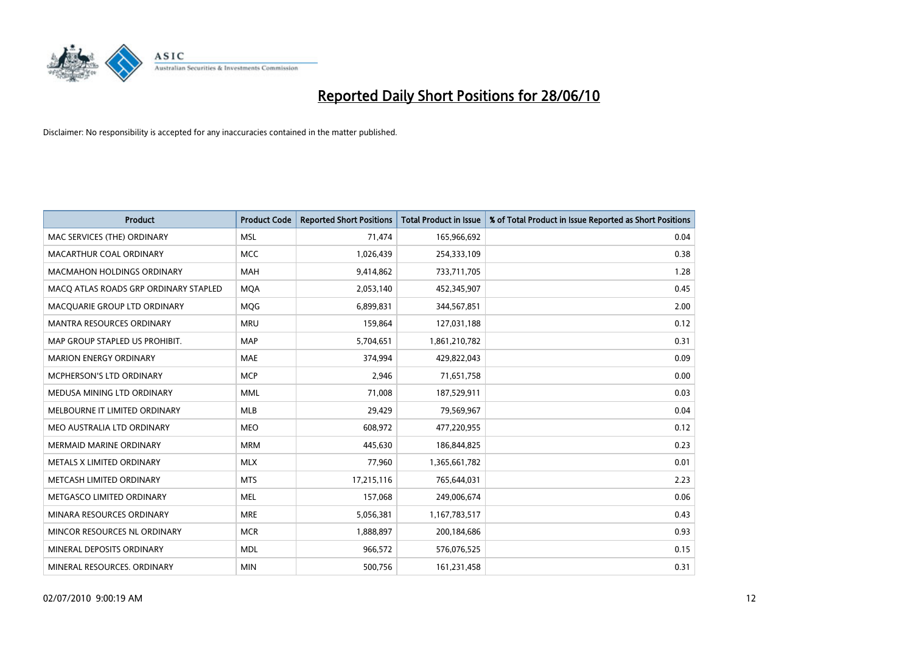

| <b>Product</b>                        | <b>Product Code</b> | <b>Reported Short Positions</b> | <b>Total Product in Issue</b> | % of Total Product in Issue Reported as Short Positions |
|---------------------------------------|---------------------|---------------------------------|-------------------------------|---------------------------------------------------------|
| MAC SERVICES (THE) ORDINARY           | <b>MSL</b>          | 71,474                          | 165,966,692                   | 0.04                                                    |
| MACARTHUR COAL ORDINARY               | <b>MCC</b>          | 1,026,439                       | 254,333,109                   | 0.38                                                    |
| <b>MACMAHON HOLDINGS ORDINARY</b>     | <b>MAH</b>          | 9,414,862                       | 733,711,705                   | 1.28                                                    |
| MACQ ATLAS ROADS GRP ORDINARY STAPLED | <b>MOA</b>          | 2,053,140                       | 452,345,907                   | 0.45                                                    |
| MACQUARIE GROUP LTD ORDINARY          | <b>MOG</b>          | 6,899,831                       | 344,567,851                   | 2.00                                                    |
| <b>MANTRA RESOURCES ORDINARY</b>      | <b>MRU</b>          | 159,864                         | 127,031,188                   | 0.12                                                    |
| MAP GROUP STAPLED US PROHIBIT.        | <b>MAP</b>          | 5,704,651                       | 1,861,210,782                 | 0.31                                                    |
| <b>MARION ENERGY ORDINARY</b>         | <b>MAE</b>          | 374,994                         | 429,822,043                   | 0.09                                                    |
| MCPHERSON'S LTD ORDINARY              | <b>MCP</b>          | 2,946                           | 71,651,758                    | 0.00                                                    |
| MEDUSA MINING LTD ORDINARY            | <b>MML</b>          | 71,008                          | 187,529,911                   | 0.03                                                    |
| MELBOURNE IT LIMITED ORDINARY         | <b>MLB</b>          | 29,429                          | 79,569,967                    | 0.04                                                    |
| MEO AUSTRALIA LTD ORDINARY            | <b>MEO</b>          | 608,972                         | 477,220,955                   | 0.12                                                    |
| MERMAID MARINE ORDINARY               | <b>MRM</b>          | 445,630                         | 186,844,825                   | 0.23                                                    |
| METALS X LIMITED ORDINARY             | <b>MLX</b>          | 77,960                          | 1,365,661,782                 | 0.01                                                    |
| METCASH LIMITED ORDINARY              | <b>MTS</b>          | 17,215,116                      | 765,644,031                   | 2.23                                                    |
| METGASCO LIMITED ORDINARY             | <b>MEL</b>          | 157,068                         | 249,006,674                   | 0.06                                                    |
| MINARA RESOURCES ORDINARY             | <b>MRE</b>          | 5,056,381                       | 1,167,783,517                 | 0.43                                                    |
| MINCOR RESOURCES NL ORDINARY          | <b>MCR</b>          | 1,888,897                       | 200,184,686                   | 0.93                                                    |
| MINERAL DEPOSITS ORDINARY             | <b>MDL</b>          | 966,572                         | 576,076,525                   | 0.15                                                    |
| MINERAL RESOURCES. ORDINARY           | <b>MIN</b>          | 500,756                         | 161,231,458                   | 0.31                                                    |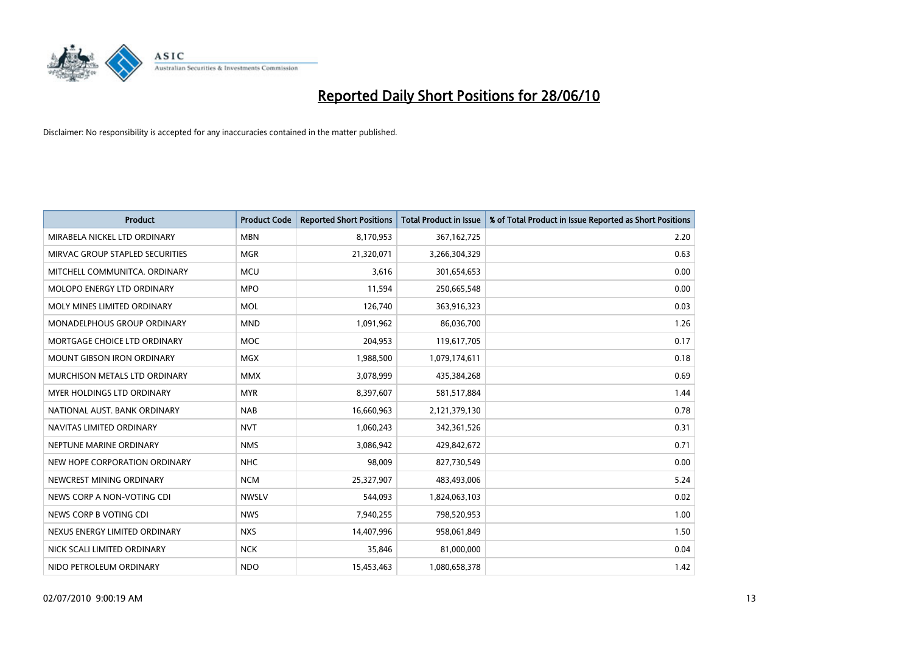

| <b>Product</b>                     | <b>Product Code</b> | <b>Reported Short Positions</b> | <b>Total Product in Issue</b> | % of Total Product in Issue Reported as Short Positions |
|------------------------------------|---------------------|---------------------------------|-------------------------------|---------------------------------------------------------|
| MIRABELA NICKEL LTD ORDINARY       | <b>MBN</b>          | 8,170,953                       | 367, 162, 725                 | 2.20                                                    |
| MIRVAC GROUP STAPLED SECURITIES    | <b>MGR</b>          | 21,320,071                      | 3,266,304,329                 | 0.63                                                    |
| MITCHELL COMMUNITCA, ORDINARY      | <b>MCU</b>          | 3,616                           | 301,654,653                   | 0.00                                                    |
| <b>MOLOPO ENERGY LTD ORDINARY</b>  | <b>MPO</b>          | 11,594                          | 250,665,548                   | 0.00                                                    |
| MOLY MINES LIMITED ORDINARY        | <b>MOL</b>          | 126,740                         | 363,916,323                   | 0.03                                                    |
| <b>MONADELPHOUS GROUP ORDINARY</b> | <b>MND</b>          | 1,091,962                       | 86,036,700                    | 1.26                                                    |
| MORTGAGE CHOICE LTD ORDINARY       | <b>MOC</b>          | 204,953                         | 119,617,705                   | 0.17                                                    |
| MOUNT GIBSON IRON ORDINARY         | <b>MGX</b>          | 1,988,500                       | 1,079,174,611                 | 0.18                                                    |
| MURCHISON METALS LTD ORDINARY      | <b>MMX</b>          | 3,078,999                       | 435,384,268                   | 0.69                                                    |
| MYER HOLDINGS LTD ORDINARY         | <b>MYR</b>          | 8,397,607                       | 581,517,884                   | 1.44                                                    |
| NATIONAL AUST. BANK ORDINARY       | <b>NAB</b>          | 16,660,963                      | 2,121,379,130                 | 0.78                                                    |
| NAVITAS LIMITED ORDINARY           | <b>NVT</b>          | 1,060,243                       | 342,361,526                   | 0.31                                                    |
| NEPTUNE MARINE ORDINARY            | <b>NMS</b>          | 3,086,942                       | 429,842,672                   | 0.71                                                    |
| NEW HOPE CORPORATION ORDINARY      | <b>NHC</b>          | 98,009                          | 827,730,549                   | 0.00                                                    |
| NEWCREST MINING ORDINARY           | <b>NCM</b>          | 25,327,907                      | 483,493,006                   | 5.24                                                    |
| NEWS CORP A NON-VOTING CDI         | <b>NWSLV</b>        | 544,093                         | 1,824,063,103                 | 0.02                                                    |
| NEWS CORP B VOTING CDI             | <b>NWS</b>          | 7,940,255                       | 798,520,953                   | 1.00                                                    |
| NEXUS ENERGY LIMITED ORDINARY      | <b>NXS</b>          | 14,407,996                      | 958,061,849                   | 1.50                                                    |
| NICK SCALI LIMITED ORDINARY        | <b>NCK</b>          | 35,846                          | 81,000,000                    | 0.04                                                    |
| NIDO PETROLEUM ORDINARY            | <b>NDO</b>          | 15,453,463                      | 1,080,658,378                 | 1.42                                                    |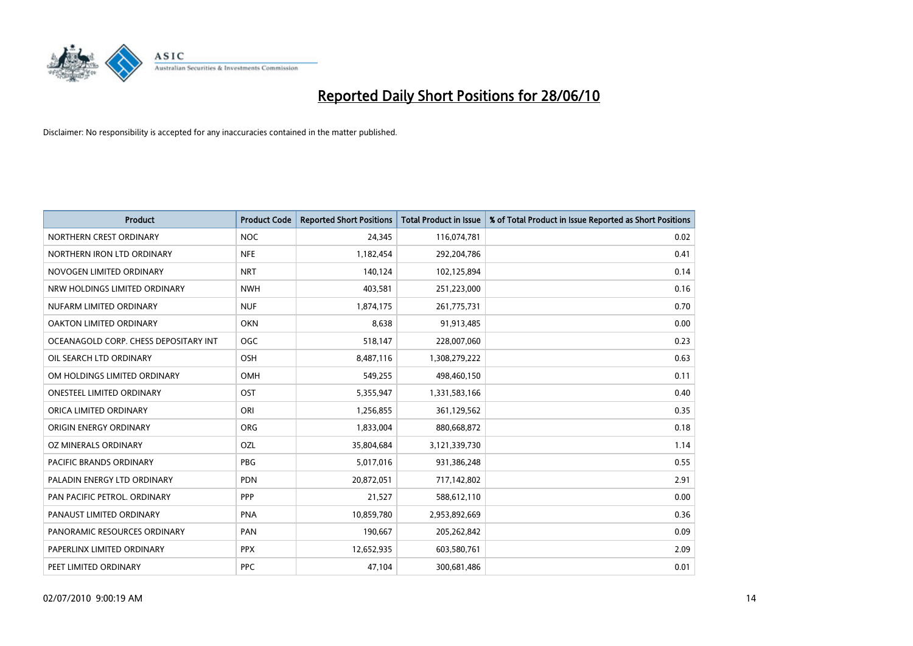

| <b>Product</b>                        | <b>Product Code</b> | <b>Reported Short Positions</b> | <b>Total Product in Issue</b> | % of Total Product in Issue Reported as Short Positions |
|---------------------------------------|---------------------|---------------------------------|-------------------------------|---------------------------------------------------------|
| NORTHERN CREST ORDINARY               | <b>NOC</b>          | 24,345                          | 116,074,781                   | 0.02                                                    |
| NORTHERN IRON LTD ORDINARY            | <b>NFE</b>          | 1,182,454                       | 292,204,786                   | 0.41                                                    |
| NOVOGEN LIMITED ORDINARY              | <b>NRT</b>          | 140,124                         | 102,125,894                   | 0.14                                                    |
| NRW HOLDINGS LIMITED ORDINARY         | <b>NWH</b>          | 403,581                         | 251,223,000                   | 0.16                                                    |
| NUFARM LIMITED ORDINARY               | <b>NUF</b>          | 1,874,175                       | 261,775,731                   | 0.70                                                    |
| OAKTON LIMITED ORDINARY               | <b>OKN</b>          | 8,638                           | 91,913,485                    | 0.00                                                    |
| OCEANAGOLD CORP. CHESS DEPOSITARY INT | <b>OGC</b>          | 518,147                         | 228,007,060                   | 0.23                                                    |
| OIL SEARCH LTD ORDINARY               | OSH                 | 8,487,116                       | 1,308,279,222                 | 0.63                                                    |
| OM HOLDINGS LIMITED ORDINARY          | <b>OMH</b>          | 549,255                         | 498,460,150                   | 0.11                                                    |
| <b>ONESTEEL LIMITED ORDINARY</b>      | OST                 | 5,355,947                       | 1,331,583,166                 | 0.40                                                    |
| ORICA LIMITED ORDINARY                | ORI                 | 1,256,855                       | 361,129,562                   | 0.35                                                    |
| ORIGIN ENERGY ORDINARY                | <b>ORG</b>          | 1,833,004                       | 880,668,872                   | 0.18                                                    |
| OZ MINERALS ORDINARY                  | OZL                 | 35,804,684                      | 3,121,339,730                 | 1.14                                                    |
| <b>PACIFIC BRANDS ORDINARY</b>        | PBG                 | 5,017,016                       | 931,386,248                   | 0.55                                                    |
| PALADIN ENERGY LTD ORDINARY           | <b>PDN</b>          | 20,872,051                      | 717,142,802                   | 2.91                                                    |
| PAN PACIFIC PETROL. ORDINARY          | PPP                 | 21,527                          | 588,612,110                   | 0.00                                                    |
| PANAUST LIMITED ORDINARY              | <b>PNA</b>          | 10,859,780                      | 2,953,892,669                 | 0.36                                                    |
| PANORAMIC RESOURCES ORDINARY          | PAN                 | 190,667                         | 205,262,842                   | 0.09                                                    |
| PAPERLINX LIMITED ORDINARY            | <b>PPX</b>          | 12,652,935                      | 603,580,761                   | 2.09                                                    |
| PEET LIMITED ORDINARY                 | <b>PPC</b>          | 47,104                          | 300,681,486                   | 0.01                                                    |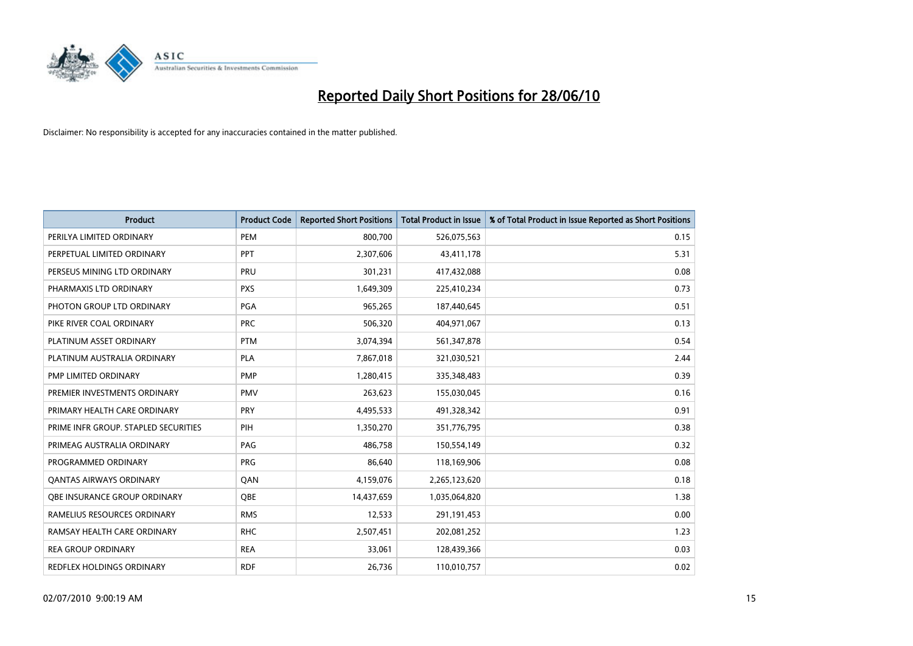

| <b>Product</b>                       | <b>Product Code</b> | <b>Reported Short Positions</b> | Total Product in Issue | % of Total Product in Issue Reported as Short Positions |
|--------------------------------------|---------------------|---------------------------------|------------------------|---------------------------------------------------------|
| PERILYA LIMITED ORDINARY             | PEM                 | 800,700                         | 526,075,563            | 0.15                                                    |
| PERPETUAL LIMITED ORDINARY           | PPT                 | 2,307,606                       | 43,411,178             | 5.31                                                    |
| PERSEUS MINING LTD ORDINARY          | PRU                 | 301,231                         | 417,432,088            | 0.08                                                    |
| PHARMAXIS LTD ORDINARY               | <b>PXS</b>          | 1,649,309                       | 225,410,234            | 0.73                                                    |
| PHOTON GROUP LTD ORDINARY            | PGA                 | 965,265                         | 187,440,645            | 0.51                                                    |
| PIKE RIVER COAL ORDINARY             | <b>PRC</b>          | 506,320                         | 404,971,067            | 0.13                                                    |
| PLATINUM ASSET ORDINARY              | <b>PTM</b>          | 3,074,394                       | 561,347,878            | 0.54                                                    |
| PLATINUM AUSTRALIA ORDINARY          | PLA                 | 7,867,018                       | 321,030,521            | 2.44                                                    |
| PMP LIMITED ORDINARY                 | <b>PMP</b>          | 1,280,415                       | 335,348,483            | 0.39                                                    |
| PREMIER INVESTMENTS ORDINARY         | <b>PMV</b>          | 263,623                         | 155,030,045            | 0.16                                                    |
| PRIMARY HEALTH CARE ORDINARY         | <b>PRY</b>          | 4,495,533                       | 491,328,342            | 0.91                                                    |
| PRIME INFR GROUP. STAPLED SECURITIES | PIH                 | 1,350,270                       | 351,776,795            | 0.38                                                    |
| PRIMEAG AUSTRALIA ORDINARY           | PAG                 | 486,758                         | 150,554,149            | 0.32                                                    |
| PROGRAMMED ORDINARY                  | <b>PRG</b>          | 86,640                          | 118,169,906            | 0.08                                                    |
| <b>QANTAS AIRWAYS ORDINARY</b>       | QAN                 | 4,159,076                       | 2,265,123,620          | 0.18                                                    |
| <b>OBE INSURANCE GROUP ORDINARY</b>  | OBE                 | 14,437,659                      | 1,035,064,820          | 1.38                                                    |
| RAMELIUS RESOURCES ORDINARY          | <b>RMS</b>          | 12,533                          | 291,191,453            | 0.00                                                    |
| RAMSAY HEALTH CARE ORDINARY          | <b>RHC</b>          | 2,507,451                       | 202,081,252            | 1.23                                                    |
| <b>REA GROUP ORDINARY</b>            | <b>REA</b>          | 33,061                          | 128,439,366            | 0.03                                                    |
| REDFLEX HOLDINGS ORDINARY            | <b>RDF</b>          | 26,736                          | 110,010,757            | 0.02                                                    |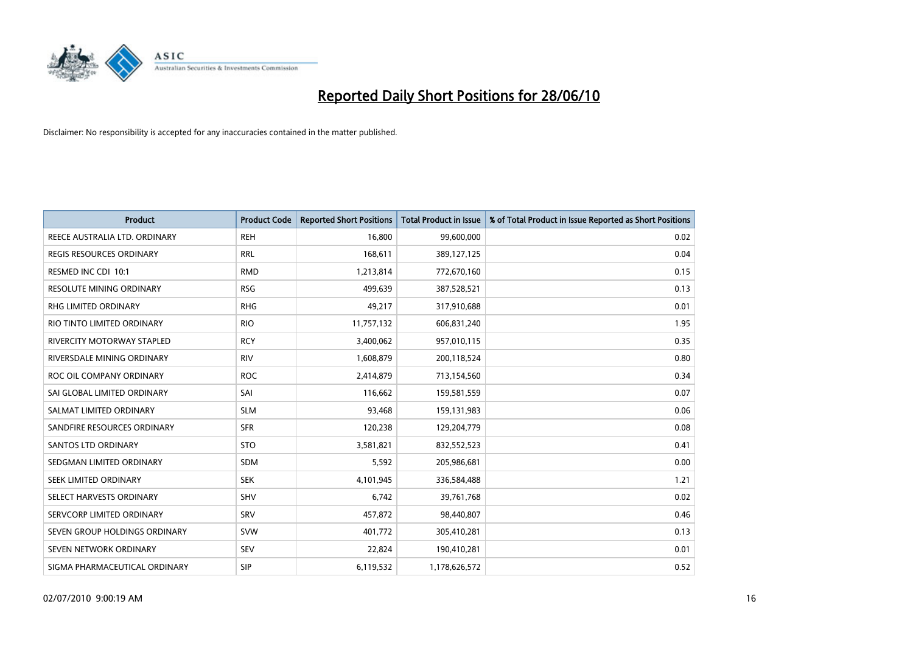

| <b>Product</b>                  | <b>Product Code</b> | <b>Reported Short Positions</b> | <b>Total Product in Issue</b> | % of Total Product in Issue Reported as Short Positions |
|---------------------------------|---------------------|---------------------------------|-------------------------------|---------------------------------------------------------|
| REECE AUSTRALIA LTD. ORDINARY   | <b>REH</b>          | 16,800                          | 99,600,000                    | 0.02                                                    |
| <b>REGIS RESOURCES ORDINARY</b> | <b>RRL</b>          | 168,611                         | 389,127,125                   | 0.04                                                    |
| RESMED INC CDI 10:1             | <b>RMD</b>          | 1,213,814                       | 772,670,160                   | 0.15                                                    |
| RESOLUTE MINING ORDINARY        | <b>RSG</b>          | 499,639                         | 387,528,521                   | 0.13                                                    |
| <b>RHG LIMITED ORDINARY</b>     | <b>RHG</b>          | 49,217                          | 317,910,688                   | 0.01                                                    |
| RIO TINTO LIMITED ORDINARY      | <b>RIO</b>          | 11,757,132                      | 606,831,240                   | 1.95                                                    |
| RIVERCITY MOTORWAY STAPLED      | <b>RCY</b>          | 3,400,062                       | 957,010,115                   | 0.35                                                    |
| RIVERSDALE MINING ORDINARY      | <b>RIV</b>          | 1,608,879                       | 200,118,524                   | 0.80                                                    |
| ROC OIL COMPANY ORDINARY        | <b>ROC</b>          | 2,414,879                       | 713,154,560                   | 0.34                                                    |
| SAI GLOBAL LIMITED ORDINARY     | SAI                 | 116,662                         | 159,581,559                   | 0.07                                                    |
| SALMAT LIMITED ORDINARY         | <b>SLM</b>          | 93,468                          | 159,131,983                   | 0.06                                                    |
| SANDFIRE RESOURCES ORDINARY     | <b>SFR</b>          | 120,238                         | 129,204,779                   | 0.08                                                    |
| <b>SANTOS LTD ORDINARY</b>      | <b>STO</b>          | 3,581,821                       | 832,552,523                   | 0.41                                                    |
| SEDGMAN LIMITED ORDINARY        | <b>SDM</b>          | 5,592                           | 205,986,681                   | 0.00                                                    |
| SEEK LIMITED ORDINARY           | <b>SEK</b>          | 4,101,945                       | 336,584,488                   | 1.21                                                    |
| SELECT HARVESTS ORDINARY        | <b>SHV</b>          | 6,742                           | 39,761,768                    | 0.02                                                    |
| SERVCORP LIMITED ORDINARY       | SRV                 | 457,872                         | 98,440,807                    | 0.46                                                    |
| SEVEN GROUP HOLDINGS ORDINARY   | <b>SVW</b>          | 401,772                         | 305,410,281                   | 0.13                                                    |
| SEVEN NETWORK ORDINARY          | <b>SEV</b>          | 22,824                          | 190,410,281                   | 0.01                                                    |
| SIGMA PHARMACEUTICAL ORDINARY   | SIP                 | 6,119,532                       | 1,178,626,572                 | 0.52                                                    |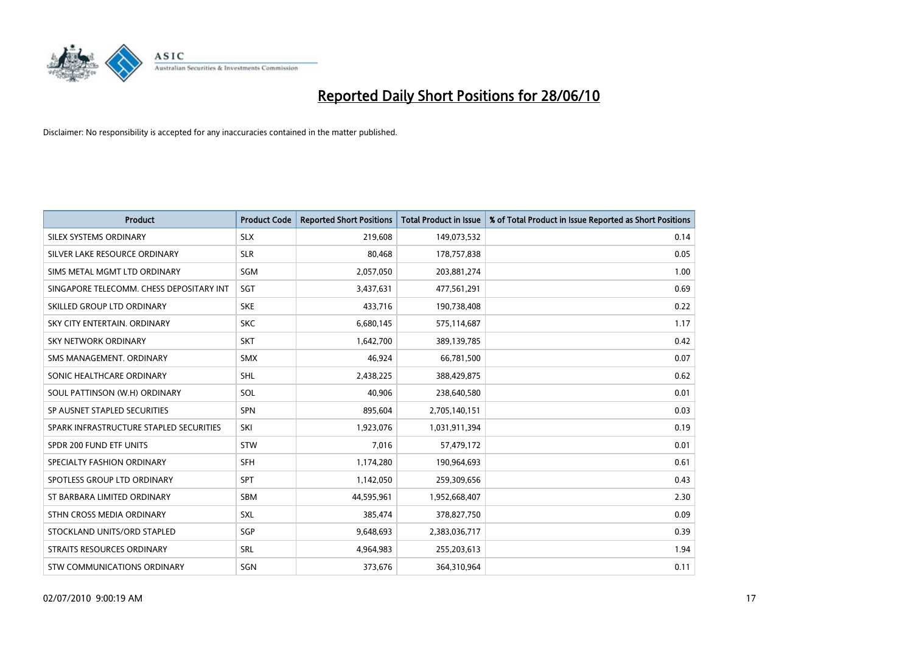

| <b>Product</b>                           | <b>Product Code</b> | <b>Reported Short Positions</b> | <b>Total Product in Issue</b> | % of Total Product in Issue Reported as Short Positions |
|------------------------------------------|---------------------|---------------------------------|-------------------------------|---------------------------------------------------------|
| SILEX SYSTEMS ORDINARY                   | <b>SLX</b>          | 219,608                         | 149,073,532                   | 0.14                                                    |
| SILVER LAKE RESOURCE ORDINARY            | <b>SLR</b>          | 80,468                          | 178,757,838                   | 0.05                                                    |
| SIMS METAL MGMT LTD ORDINARY             | <b>SGM</b>          | 2,057,050                       | 203,881,274                   | 1.00                                                    |
| SINGAPORE TELECOMM. CHESS DEPOSITARY INT | <b>SGT</b>          | 3,437,631                       | 477,561,291                   | 0.69                                                    |
| SKILLED GROUP LTD ORDINARY               | <b>SKE</b>          | 433,716                         | 190,738,408                   | 0.22                                                    |
| SKY CITY ENTERTAIN, ORDINARY             | <b>SKC</b>          | 6,680,145                       | 575,114,687                   | 1.17                                                    |
| <b>SKY NETWORK ORDINARY</b>              | <b>SKT</b>          | 1,642,700                       | 389,139,785                   | 0.42                                                    |
| SMS MANAGEMENT, ORDINARY                 | <b>SMX</b>          | 46,924                          | 66,781,500                    | 0.07                                                    |
| SONIC HEALTHCARE ORDINARY                | <b>SHL</b>          | 2,438,225                       | 388,429,875                   | 0.62                                                    |
| SOUL PATTINSON (W.H) ORDINARY            | SOL                 | 40,906                          | 238,640,580                   | 0.01                                                    |
| SP AUSNET STAPLED SECURITIES             | <b>SPN</b>          | 895,604                         | 2,705,140,151                 | 0.03                                                    |
| SPARK INFRASTRUCTURE STAPLED SECURITIES  | SKI                 | 1,923,076                       | 1,031,911,394                 | 0.19                                                    |
| SPDR 200 FUND ETF UNITS                  | <b>STW</b>          | 7,016                           | 57,479,172                    | 0.01                                                    |
| SPECIALTY FASHION ORDINARY               | <b>SFH</b>          | 1,174,280                       | 190,964,693                   | 0.61                                                    |
| SPOTLESS GROUP LTD ORDINARY              | <b>SPT</b>          | 1,142,050                       | 259,309,656                   | 0.43                                                    |
| ST BARBARA LIMITED ORDINARY              | SBM                 | 44,595,961                      | 1,952,668,407                 | 2.30                                                    |
| STHN CROSS MEDIA ORDINARY                | <b>SXL</b>          | 385,474                         | 378,827,750                   | 0.09                                                    |
| STOCKLAND UNITS/ORD STAPLED              | <b>SGP</b>          | 9,648,693                       | 2,383,036,717                 | 0.39                                                    |
| STRAITS RESOURCES ORDINARY               | SRL                 | 4,964,983                       | 255,203,613                   | 1.94                                                    |
| STW COMMUNICATIONS ORDINARY              | SGN                 | 373,676                         | 364,310,964                   | 0.11                                                    |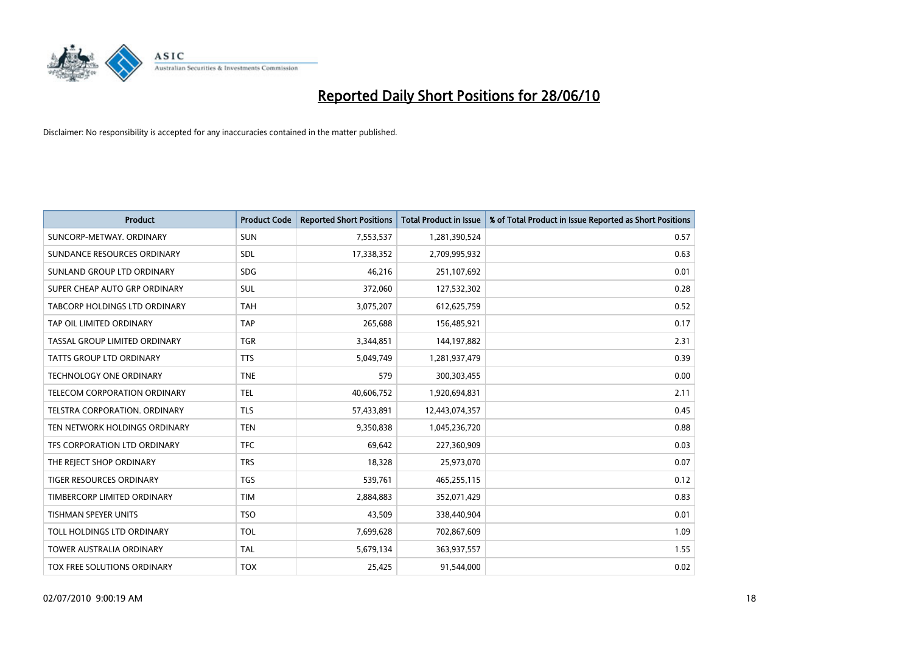

| <b>Product</b>                  | <b>Product Code</b> | <b>Reported Short Positions</b> | <b>Total Product in Issue</b> | % of Total Product in Issue Reported as Short Positions |
|---------------------------------|---------------------|---------------------------------|-------------------------------|---------------------------------------------------------|
| SUNCORP-METWAY, ORDINARY        | <b>SUN</b>          | 7,553,537                       | 1,281,390,524                 | 0.57                                                    |
| SUNDANCE RESOURCES ORDINARY     | <b>SDL</b>          | 17,338,352                      | 2,709,995,932                 | 0.63                                                    |
| SUNLAND GROUP LTD ORDINARY      | <b>SDG</b>          | 46,216                          | 251,107,692                   | 0.01                                                    |
| SUPER CHEAP AUTO GRP ORDINARY   | <b>SUL</b>          | 372,060                         | 127,532,302                   | 0.28                                                    |
| TABCORP HOLDINGS LTD ORDINARY   | <b>TAH</b>          | 3,075,207                       | 612,625,759                   | 0.52                                                    |
| TAP OIL LIMITED ORDINARY        | <b>TAP</b>          | 265,688                         | 156,485,921                   | 0.17                                                    |
| TASSAL GROUP LIMITED ORDINARY   | <b>TGR</b>          | 3,344,851                       | 144,197,882                   | 2.31                                                    |
| TATTS GROUP LTD ORDINARY        | <b>TTS</b>          | 5,049,749                       | 1,281,937,479                 | 0.39                                                    |
| TECHNOLOGY ONE ORDINARY         | <b>TNE</b>          | 579                             | 300,303,455                   | 0.00                                                    |
| TELECOM CORPORATION ORDINARY    | <b>TEL</b>          | 40,606,752                      | 1,920,694,831                 | 2.11                                                    |
| TELSTRA CORPORATION. ORDINARY   | <b>TLS</b>          | 57,433,891                      | 12,443,074,357                | 0.45                                                    |
| TEN NETWORK HOLDINGS ORDINARY   | <b>TEN</b>          | 9,350,838                       | 1,045,236,720                 | 0.88                                                    |
| TFS CORPORATION LTD ORDINARY    | <b>TFC</b>          | 69,642                          | 227,360,909                   | 0.03                                                    |
| THE REJECT SHOP ORDINARY        | <b>TRS</b>          | 18,328                          | 25,973,070                    | 0.07                                                    |
| TIGER RESOURCES ORDINARY        | <b>TGS</b>          | 539,761                         | 465,255,115                   | 0.12                                                    |
| TIMBERCORP LIMITED ORDINARY     | <b>TIM</b>          | 2,884,883                       | 352,071,429                   | 0.83                                                    |
| <b>TISHMAN SPEYER UNITS</b>     | <b>TSO</b>          | 43,509                          | 338,440,904                   | 0.01                                                    |
| TOLL HOLDINGS LTD ORDINARY      | <b>TOL</b>          | 7,699,628                       | 702,867,609                   | 1.09                                                    |
| <b>TOWER AUSTRALIA ORDINARY</b> | <b>TAL</b>          | 5,679,134                       | 363,937,557                   | 1.55                                                    |
| TOX FREE SOLUTIONS ORDINARY     | <b>TOX</b>          | 25,425                          | 91,544,000                    | 0.02                                                    |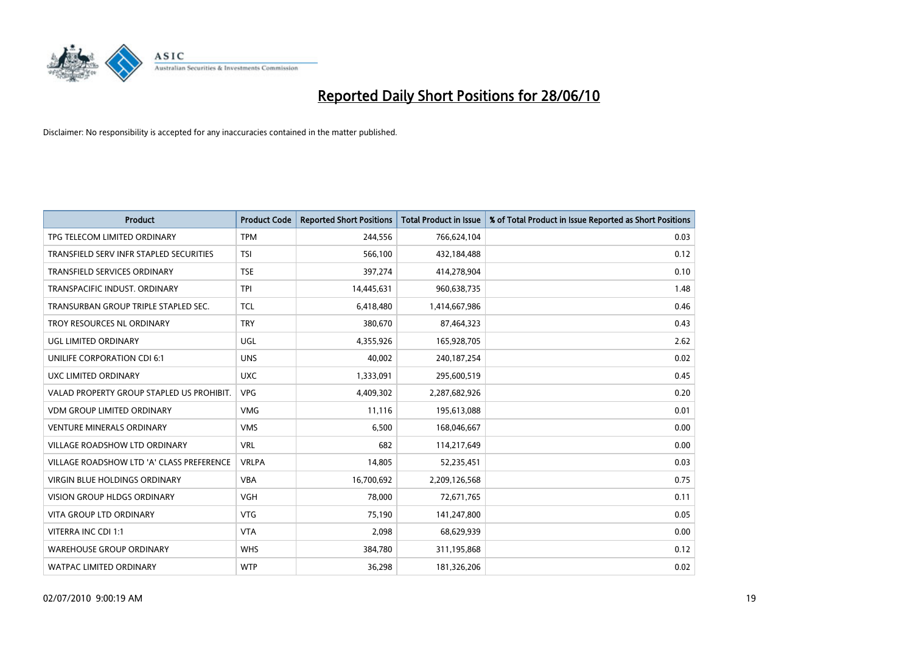

| <b>Product</b>                            | <b>Product Code</b> | <b>Reported Short Positions</b> | <b>Total Product in Issue</b> | % of Total Product in Issue Reported as Short Positions |
|-------------------------------------------|---------------------|---------------------------------|-------------------------------|---------------------------------------------------------|
| TPG TELECOM LIMITED ORDINARY              | <b>TPM</b>          | 244,556                         | 766,624,104                   | 0.03                                                    |
| TRANSFIELD SERV INFR STAPLED SECURITIES   | <b>TSI</b>          | 566,100                         | 432,184,488                   | 0.12                                                    |
| TRANSFIELD SERVICES ORDINARY              | <b>TSE</b>          | 397,274                         | 414,278,904                   | 0.10                                                    |
| TRANSPACIFIC INDUST, ORDINARY             | <b>TPI</b>          | 14,445,631                      | 960,638,735                   | 1.48                                                    |
| TRANSURBAN GROUP TRIPLE STAPLED SEC.      | <b>TCL</b>          | 6,418,480                       | 1,414,667,986                 | 0.46                                                    |
| TROY RESOURCES NL ORDINARY                | <b>TRY</b>          | 380,670                         | 87,464,323                    | 0.43                                                    |
| UGL LIMITED ORDINARY                      | UGL                 | 4,355,926                       | 165,928,705                   | 2.62                                                    |
| UNILIFE CORPORATION CDI 6:1               | <b>UNS</b>          | 40,002                          | 240,187,254                   | 0.02                                                    |
| UXC LIMITED ORDINARY                      | <b>UXC</b>          | 1,333,091                       | 295,600,519                   | 0.45                                                    |
| VALAD PROPERTY GROUP STAPLED US PROHIBIT. | <b>VPG</b>          | 4,409,302                       | 2,287,682,926                 | 0.20                                                    |
| <b>VDM GROUP LIMITED ORDINARY</b>         | <b>VMG</b>          | 11,116                          | 195,613,088                   | 0.01                                                    |
| <b>VENTURE MINERALS ORDINARY</b>          | <b>VMS</b>          | 6,500                           | 168,046,667                   | 0.00                                                    |
| <b>VILLAGE ROADSHOW LTD ORDINARY</b>      | <b>VRL</b>          | 682                             | 114,217,649                   | 0.00                                                    |
| VILLAGE ROADSHOW LTD 'A' CLASS PREFERENCE | <b>VRLPA</b>        | 14,805                          | 52,235,451                    | 0.03                                                    |
| VIRGIN BLUE HOLDINGS ORDINARY             | <b>VBA</b>          | 16,700,692                      | 2,209,126,568                 | 0.75                                                    |
| <b>VISION GROUP HLDGS ORDINARY</b>        | <b>VGH</b>          | 78,000                          | 72,671,765                    | 0.11                                                    |
| VITA GROUP LTD ORDINARY                   | <b>VTG</b>          | 75,190                          | 141,247,800                   | 0.05                                                    |
| VITERRA INC CDI 1:1                       | <b>VTA</b>          | 2,098                           | 68,629,939                    | 0.00                                                    |
| <b>WAREHOUSE GROUP ORDINARY</b>           | <b>WHS</b>          | 384,780                         | 311,195,868                   | 0.12                                                    |
| <b>WATPAC LIMITED ORDINARY</b>            | <b>WTP</b>          | 36,298                          | 181,326,206                   | 0.02                                                    |